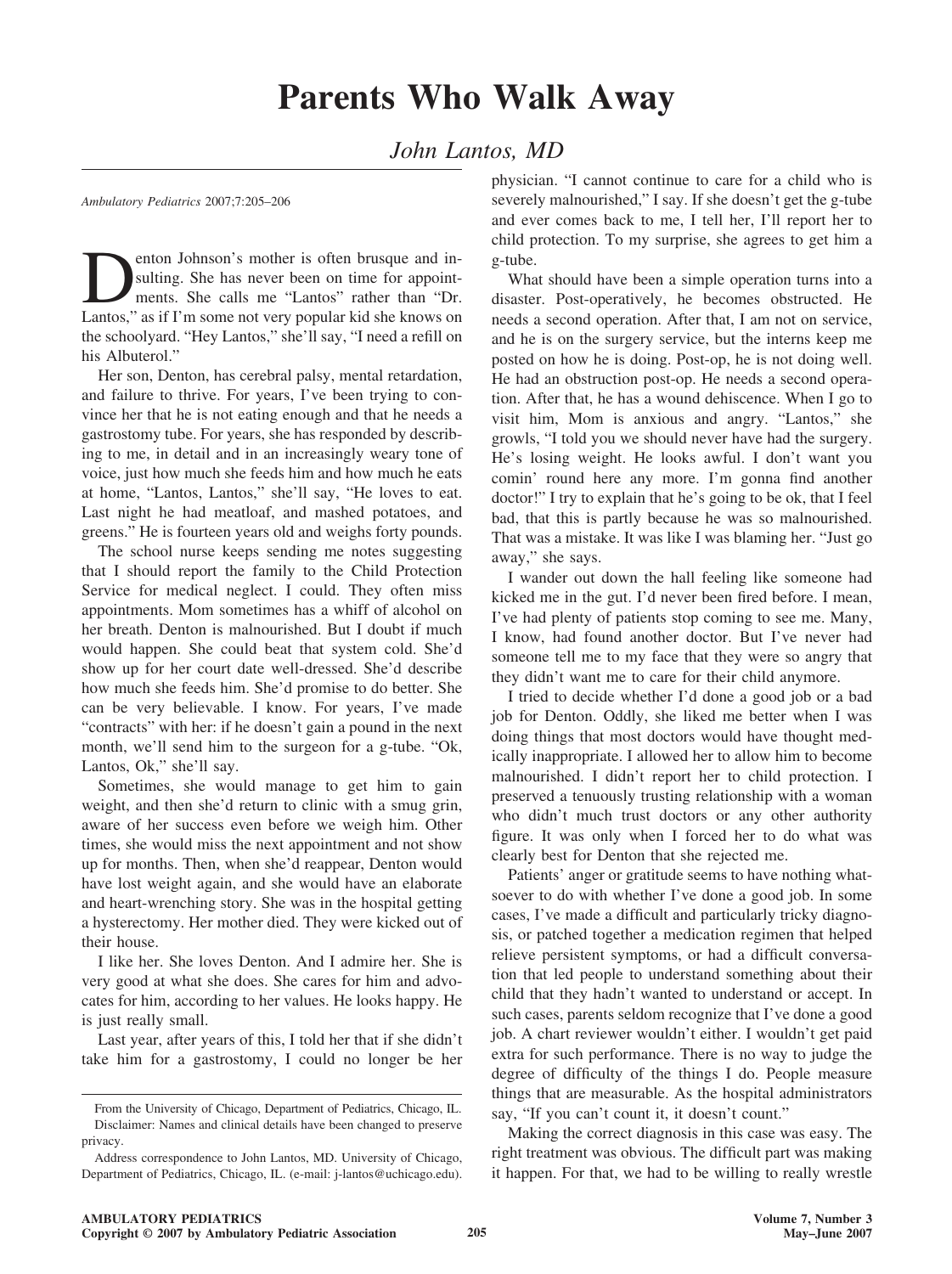*John Lantos, MD*

*Ambulatory Pediatrics* 2007;7:205–206

**Dentish School School School School School School School School School School School School School School School School School School School School School School School School School School School School School School Sch** sulting. She has never been on time for appointments. She calls me "Lantos" rather than "Dr. Lantos," as if I'm some not very popular kid she knows on the schoolyard. "Hey Lantos," she'll say, "I need a refill on his Albuterol."

Her son, Denton, has cerebral palsy, mental retardation, and failure to thrive. For years, I've been trying to convince her that he is not eating enough and that he needs a gastrostomy tube. For years, she has responded by describing to me, in detail and in an increasingly weary tone of voice, just how much she feeds him and how much he eats at home, "Lantos, Lantos," she'll say, "He loves to eat. Last night he had meatloaf, and mashed potatoes, and greens." He is fourteen years old and weighs forty pounds.

The school nurse keeps sending me notes suggesting that I should report the family to the Child Protection Service for medical neglect. I could. They often miss appointments. Mom sometimes has a whiff of alcohol on her breath. Denton is malnourished. But I doubt if much would happen. She could beat that system cold. She'd show up for her court date well-dressed. She'd describe how much she feeds him. She'd promise to do better. She can be very believable. I know. For years, I've made "contracts" with her: if he doesn't gain a pound in the next month, we'll send him to the surgeon for a g-tube. "Ok, Lantos, Ok," she'll say.

Sometimes, she would manage to get him to gain weight, and then she'd return to clinic with a smug grin, aware of her success even before we weigh him. Other times, she would miss the next appointment and not show up for months. Then, when she'd reappear, Denton would have lost weight again, and she would have an elaborate and heart-wrenching story. She was in the hospital getting a hysterectomy. Her mother died. They were kicked out of their house.

I like her. She loves Denton. And I admire her. She is very good at what she does. She cares for him and advocates for him, according to her values. He looks happy. He is just really small.

Last year, after years of this, I told her that if she didn't take him for a gastrostomy, I could no longer be her

physician. "I cannot continue to care for a child who is severely malnourished," I say. If she doesn't get the g-tube and ever comes back to me, I tell her, I'll report her to child protection. To my surprise, she agrees to get him a g-tube.

What should have been a simple operation turns into a disaster. Post-operatively, he becomes obstructed. He needs a second operation. After that, I am not on service, and he is on the surgery service, but the interns keep me posted on how he is doing. Post-op, he is not doing well. He had an obstruction post-op. He needs a second operation. After that, he has a wound dehiscence. When I go to visit him, Mom is anxious and angry. "Lantos," she growls, "I told you we should never have had the surgery. He's losing weight. He looks awful. I don't want you comin' round here any more. I'm gonna find another doctor!" I try to explain that he's going to be ok, that I feel bad, that this is partly because he was so malnourished. That was a mistake. It was like I was blaming her. "Just go away," she says.

I wander out down the hall feeling like someone had kicked me in the gut. I'd never been fired before. I mean, I've had plenty of patients stop coming to see me. Many, I know, had found another doctor. But I've never had someone tell me to my face that they were so angry that they didn't want me to care for their child anymore.

I tried to decide whether I'd done a good job or a bad job for Denton. Oddly, she liked me better when I was doing things that most doctors would have thought medically inappropriate. I allowed her to allow him to become malnourished. I didn't report her to child protection. I preserved a tenuously trusting relationship with a woman who didn't much trust doctors or any other authority figure. It was only when I forced her to do what was clearly best for Denton that she rejected me.

Patients' anger or gratitude seems to have nothing whatsoever to do with whether I've done a good job. In some cases, I've made a difficult and particularly tricky diagnosis, or patched together a medication regimen that helped relieve persistent symptoms, or had a difficult conversation that led people to understand something about their child that they hadn't wanted to understand or accept. In such cases, parents seldom recognize that I've done a good job. A chart reviewer wouldn't either. I wouldn't get paid extra for such performance. There is no way to judge the degree of difficulty of the things I do. People measure things that are measurable. As the hospital administrators say, "If you can't count it, it doesn't count."

Making the correct diagnosis in this case was easy. The right treatment was obvious. The difficult part was making it happen. For that, we had to be willing to really wrestle

From the University of Chicago, Department of Pediatrics, Chicago, IL. Disclaimer: Names and clinical details have been changed to preserve privacy.

Address correspondence to John Lantos, MD. University of Chicago, Department of Pediatrics, Chicago, IL. (e-mail: j-lantos@uchicago.edu).